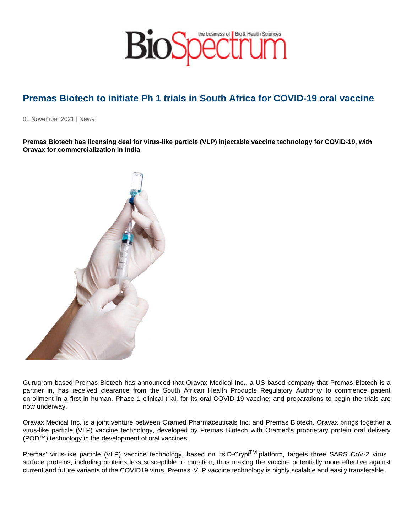## Premas Biotech to initiate Ph 1 trials in South Africa for COVID-19 oral vaccine

01 November 2021 | News

Premas Biotech has licensing deal for virus-like particle (VLP) injectable vaccine technology for COVID-19, with Oravax for commercialization in India

Gurugram-based Premas Biotech has announced that Oravax Medical Inc., a US based company that Premas Biotech is a partner in, has received clearance from the South African Health Products Regulatory Authority to commence patient enrollment in a first in human, Phase 1 clinical trial, for its oral COVID-19 vaccine; and preparations to begin the trials are now underway.

Oravax Medical Inc. is a joint venture between Oramed Pharmaceuticals Inc. and Premas Biotech. Oravax brings together a virus-like particle (VLP) vaccine technology, developed by Premas Biotech with Oramed's proprietary protein oral delivery (POD™) technology in the development of oral vaccines.

Premas' virus-like particle (VLP) vaccine technology, based on its D-Crypt<sup>TM</sup> platform, targets three SARS CoV-2 virus surface proteins, including proteins less susceptible to mutation, thus making the vaccine potentially more effective against current and future variants of the COVID19 virus. Premas' VLP vaccine technology is highly scalable and easily transferable.